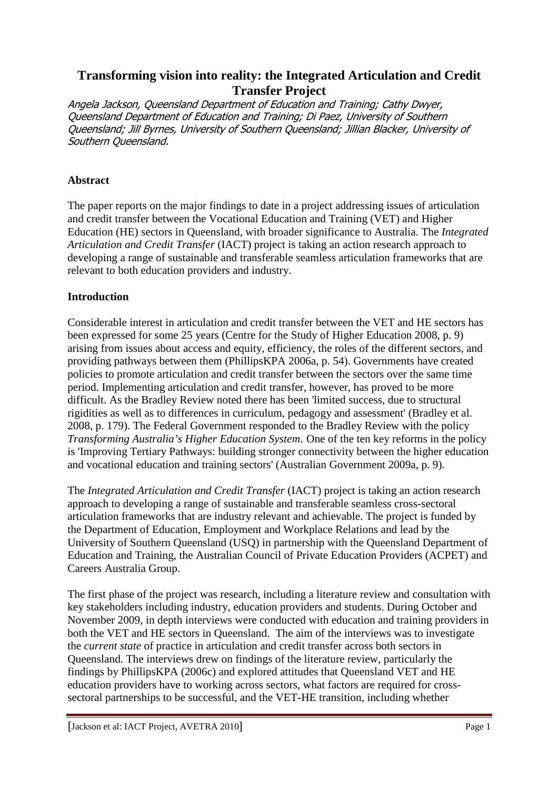# **Transforming vision into reality: the Integrated Articulation and Credit Transfer Project**

Angela Jackson, Queensland Department of Education and Training; Cathy Dwyer, Queensland Department of Education and Training; Di Paez, University of Southern Queensland; Jill Byrnes, University of Southern Queensland; Jillian Blacker, University of Southern Queensland.

## **Abstract**

The paper reports on the major findings to date in a project addressing issues of articulation and credit transfer between the Vocational Education and Training (VET) and Higher Education (HE) sectors in Queensland, with broader significance to Australia. The *Integrated Articulation and Credit Transfer* (IACT) project is taking an action research approach to developing a range of sustainable and transferable seamless articulation frameworks that are relevant to both education providers and industry.

## **Introduction**

Considerable interest in articulation and credit transfer between the VET and HE sectors has been expressed for some 25 years (Centre for the Study of Higher Education 2008, p. 9) arising from issues about access and equity, efficiency, the roles of the different sectors, and providing pathways between them (PhillipsKPA 2006a, p. 54). Governments have created policies to promote articulation and credit transfer between the sectors over the same time period. Implementing articulation and credit transfer, however, has proved to be more difficult. As the Bradley Review noted there has been 'limited success, due to structural rigidities as well as to differences in curriculum, pedagogy and assessment' (Bradley et al. 2008, p. 179). The Federal Government responded to the Bradley Review with the policy *Transforming Australia's Higher Education System*. One of the ten key reforms in the policy is 'Improving Tertiary Pathways: building stronger connectivity between the higher education and vocational education and training sectors' (Australian Government 2009a, p. 9).

The *Integrated Articulation and Credit Transfer* (IACT) project is taking an action research approach to developing a range of sustainable and transferable seamless cross-sectoral articulation frameworks that are industry relevant and achievable. The project is funded by the Department of Education, Employment and Workplace Relations and lead by the University of Southern Queensland (USQ) in partnership with the Queensland Department of Education and Training, the Australian Council of Private Education Providers (ACPET) and Careers Australia Group.

The first phase of the project was research, including a literature review and consultation with key stakeholders including industry, education providers and students. During October and November 2009, in depth interviews were conducted with education and training providers in both the VET and HE sectors in Queensland. The aim of the interviews was to investigate the *current state* of practice in articulation and credit transfer across both sectors in Queensland. The interviews drew on findings of the literature review, particularly the findings by PhillipsKPA (2006c) and explored attitudes that Queensland VET and HE education providers have to working across sectors, what factors are required for crosssectoral partnerships to be successful, and the VET-HE transition, including whether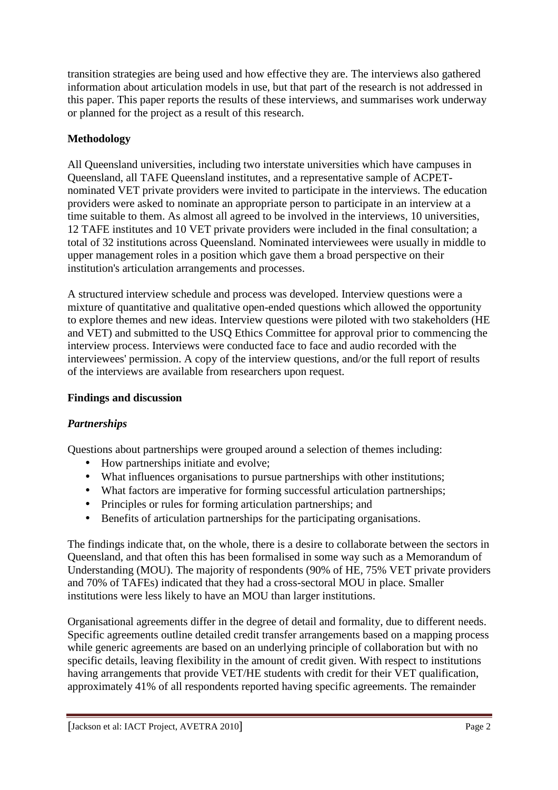transition strategies are being used and how effective they are. The interviews also gathered information about articulation models in use, but that part of the research is not addressed in this paper. This paper reports the results of these interviews, and summarises work underway or planned for the project as a result of this research.

## **Methodology**

All Queensland universities, including two interstate universities which have campuses in Queensland, all TAFE Queensland institutes, and a representative sample of ACPETnominated VET private providers were invited to participate in the interviews. The education providers were asked to nominate an appropriate person to participate in an interview at a time suitable to them. As almost all agreed to be involved in the interviews, 10 universities, 12 TAFE institutes and 10 VET private providers were included in the final consultation; a total of 32 institutions across Queensland. Nominated interviewees were usually in middle to upper management roles in a position which gave them a broad perspective on their institution's articulation arrangements and processes.

A structured interview schedule and process was developed. Interview questions were a mixture of quantitative and qualitative open-ended questions which allowed the opportunity to explore themes and new ideas. Interview questions were piloted with two stakeholders (HE and VET) and submitted to the USQ Ethics Committee for approval prior to commencing the interview process. Interviews were conducted face to face and audio recorded with the interviewees' permission. A copy of the interview questions, and/or the full report of results of the interviews are available from researchers upon request.

## **Findings and discussion**

## *Partnerships*

Questions about partnerships were grouped around a selection of themes including:

- How partnerships initiate and evolve;
- What influences organisations to pursue partnerships with other institutions;
- What factors are imperative for forming successful articulation partnerships;
- Principles or rules for forming articulation partnerships; and
- Benefits of articulation partnerships for the participating organisations.

The findings indicate that, on the whole, there is a desire to collaborate between the sectors in Queensland, and that often this has been formalised in some way such as a Memorandum of Understanding (MOU). The majority of respondents (90% of HE, 75% VET private providers and 70% of TAFEs) indicated that they had a cross-sectoral MOU in place. Smaller institutions were less likely to have an MOU than larger institutions.

Organisational agreements differ in the degree of detail and formality, due to different needs. Specific agreements outline detailed credit transfer arrangements based on a mapping process while generic agreements are based on an underlying principle of collaboration but with no specific details, leaving flexibility in the amount of credit given. With respect to institutions having arrangements that provide VET/HE students with credit for their VET qualification, approximately 41% of all respondents reported having specific agreements. The remainder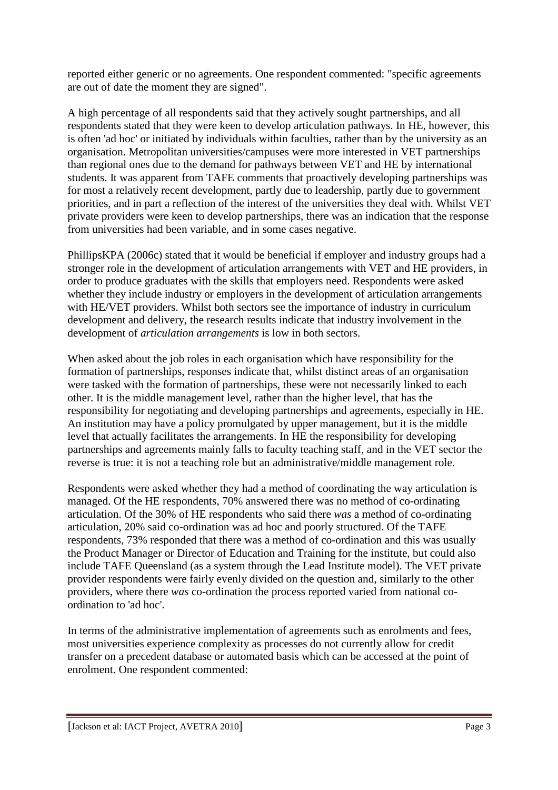reported either generic or no agreements. One respondent commented: "specific agreements are out of date the moment they are signed".

A high percentage of all respondents said that they actively sought partnerships, and all respondents stated that they were keen to develop articulation pathways. In HE, however, this is often 'ad hoc' or initiated by individuals within faculties, rather than by the university as an organisation. Metropolitan universities/campuses were more interested in VET partnerships than regional ones due to the demand for pathways between VET and HE by international students. It was apparent from TAFE comments that proactively developing partnerships was for most a relatively recent development, partly due to leadership, partly due to government priorities, and in part a reflection of the interest of the universities they deal with. Whilst VET private providers were keen to develop partnerships, there was an indication that the response from universities had been variable, and in some cases negative.

PhillipsKPA (2006c) stated that it would be beneficial if employer and industry groups had a stronger role in the development of articulation arrangements with VET and HE providers, in order to produce graduates with the skills that employers need. Respondents were asked whether they include industry or employers in the development of articulation arrangements with HE/VET providers. Whilst both sectors see the importance of industry in curriculum development and delivery, the research results indicate that industry involvement in the development of *articulation arrangements* is low in both sectors.

When asked about the job roles in each organisation which have responsibility for the formation of partnerships, responses indicate that, whilst distinct areas of an organisation were tasked with the formation of partnerships, these were not necessarily linked to each other. It is the middle management level, rather than the higher level, that has the responsibility for negotiating and developing partnerships and agreements, especially in HE. An institution may have a policy promulgated by upper management, but it is the middle level that actually facilitates the arrangements. In HE the responsibility for developing partnerships and agreements mainly falls to faculty teaching staff, and in the VET sector the reverse is true: it is not a teaching role but an administrative/middle management role.

Respondents were asked whether they had a method of coordinating the way articulation is managed. Of the HE respondents, 70% answered there was no method of co-ordinating articulation. Of the 30% of HE respondents who said there *was* a method of co-ordinating articulation, 20% said co-ordination was ad hoc and poorly structured. Of the TAFE respondents, 73% responded that there was a method of co-ordination and this was usually the Product Manager or Director of Education and Training for the institute, but could also include TAFE Queensland (as a system through the Lead Institute model). The VET private provider respondents were fairly evenly divided on the question and, similarly to the other providers, where there *was* co-ordination the process reported varied from national coordination to 'ad hoc'.

In terms of the administrative implementation of agreements such as enrolments and fees, most universities experience complexity as processes do not currently allow for credit transfer on a precedent database or automated basis which can be accessed at the point of enrolment. One respondent commented: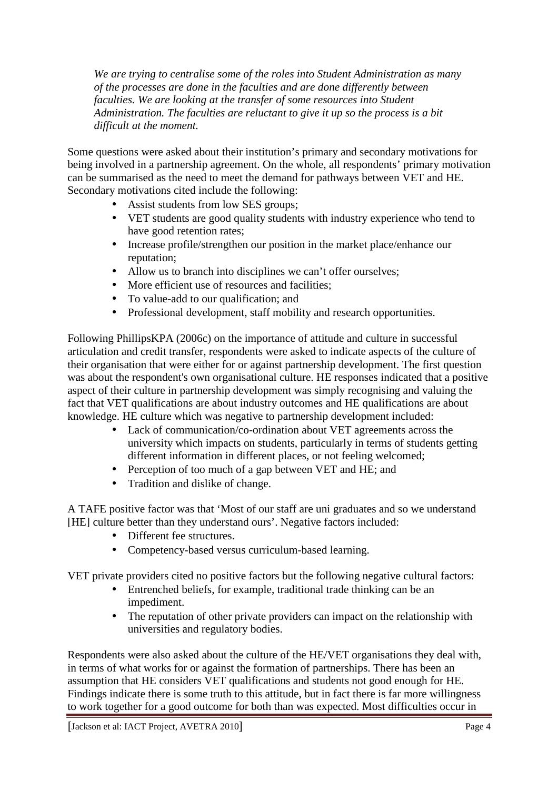*We are trying to centralise some of the roles into Student Administration as many of the processes are done in the faculties and are done differently between faculties. We are looking at the transfer of some resources into Student Administration. The faculties are reluctant to give it up so the process is a bit difficult at the moment.*

Some questions were asked about their institution's primary and secondary motivations for being involved in a partnership agreement. On the whole, all respondents' primary motivation can be summarised as the need to meet the demand for pathways between VET and HE. Secondary motivations cited include the following:

- Assist students from low SES groups;
- VET students are good quality students with industry experience who tend to have good retention rates;
- Increase profile/strengthen our position in the market place/enhance our reputation;
- Allow us to branch into disciplines we can't offer ourselves;
- More efficient use of resources and facilities;
- To value-add to our qualification; and
- Professional development, staff mobility and research opportunities.

Following PhillipsKPA (2006c) on the importance of attitude and culture in successful articulation and credit transfer, respondents were asked to indicate aspects of the culture of their organisation that were either for or against partnership development. The first question was about the respondent's own organisational culture. HE responses indicated that a positive aspect of their culture in partnership development was simply recognising and valuing the fact that VET qualifications are about industry outcomes and HE qualifications are about knowledge. HE culture which was negative to partnership development included:

- Lack of communication/co-ordination about VET agreements across the university which impacts on students, particularly in terms of students getting different information in different places, or not feeling welcomed;
- Perception of too much of a gap between VET and HE; and
- Tradition and dislike of change.

A TAFE positive factor was that 'Most of our staff are uni graduates and so we understand [HE] culture better than they understand ours'. Negative factors included:

- Different fee structures.
- Competency-based versus curriculum-based learning.

VET private providers cited no positive factors but the following negative cultural factors:

- Entrenched beliefs, for example, traditional trade thinking can be an impediment.
- The reputation of other private providers can impact on the relationship with universities and regulatory bodies.

Respondents were also asked about the culture of the HE/VET organisations they deal with, in terms of what works for or against the formation of partnerships. There has been an assumption that HE considers VET qualifications and students not good enough for HE. Findings indicate there is some truth to this attitude, but in fact there is far more willingness to work together for a good outcome for both than was expected. Most difficulties occur in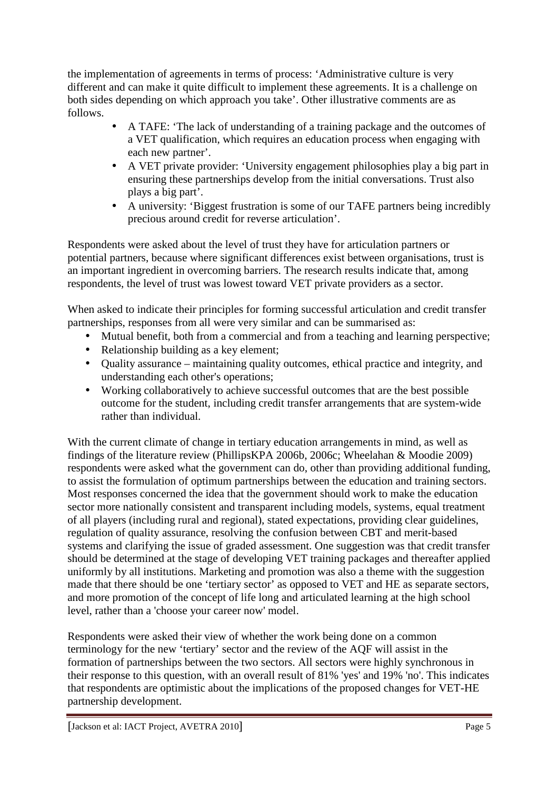the implementation of agreements in terms of process: 'Administrative culture is very different and can make it quite difficult to implement these agreements. It is a challenge on both sides depending on which approach you take'. Other illustrative comments are as follows.

- A TAFE: 'The lack of understanding of a training package and the outcomes of a VET qualification, which requires an education process when engaging with each new partner'.
- A VET private provider: 'University engagement philosophies play a big part in ensuring these partnerships develop from the initial conversations. Trust also plays a big part'.
- A university: 'Biggest frustration is some of our TAFE partners being incredibly precious around credit for reverse articulation'.

Respondents were asked about the level of trust they have for articulation partners or potential partners, because where significant differences exist between organisations, trust is an important ingredient in overcoming barriers. The research results indicate that, among respondents, the level of trust was lowest toward VET private providers as a sector.

When asked to indicate their principles for forming successful articulation and credit transfer partnerships, responses from all were very similar and can be summarised as:

- Mutual benefit, both from a commercial and from a teaching and learning perspective;
- Relationship building as a key element;
- Quality assurance maintaining quality outcomes, ethical practice and integrity, and understanding each other's operations;
- Working collaboratively to achieve successful outcomes that are the best possible outcome for the student, including credit transfer arrangements that are system-wide rather than individual.

With the current climate of change in tertiary education arrangements in mind, as well as findings of the literature review (PhillipsKPA 2006b, 2006c; Wheelahan & Moodie 2009) respondents were asked what the government can do, other than providing additional funding, to assist the formulation of optimum partnerships between the education and training sectors. Most responses concerned the idea that the government should work to make the education sector more nationally consistent and transparent including models, systems, equal treatment of all players (including rural and regional), stated expectations, providing clear guidelines, regulation of quality assurance, resolving the confusion between CBT and merit-based systems and clarifying the issue of graded assessment. One suggestion was that credit transfer should be determined at the stage of developing VET training packages and thereafter applied uniformly by all institutions. Marketing and promotion was also a theme with the suggestion made that there should be one 'tertiary sector' as opposed to VET and HE as separate sectors, and more promotion of the concept of life long and articulated learning at the high school level, rather than a 'choose your career now' model.

Respondents were asked their view of whether the work being done on a common terminology for the new 'tertiary' sector and the review of the AQF will assist in the formation of partnerships between the two sectors. All sectors were highly synchronous in their response to this question, with an overall result of 81% 'yes' and 19% 'no'. This indicates that respondents are optimistic about the implications of the proposed changes for VET-HE partnership development.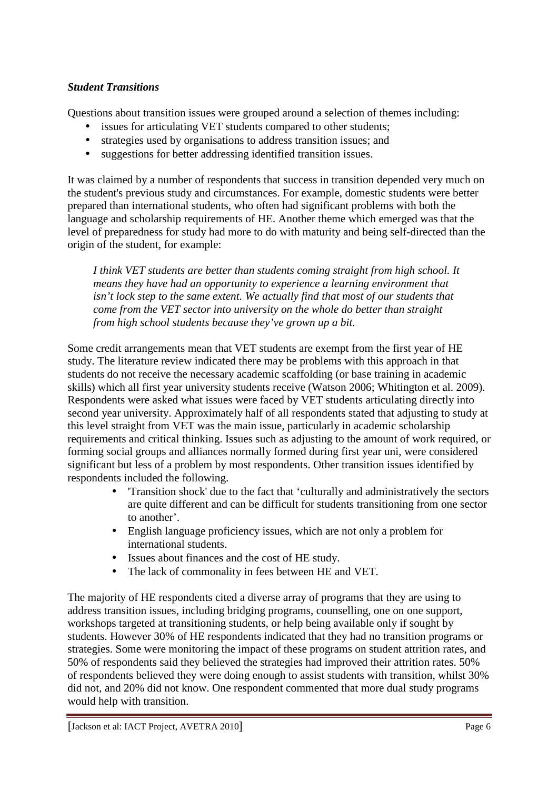## *Student Transitions*

Questions about transition issues were grouped around a selection of themes including:

- issues for articulating VET students compared to other students;
- strategies used by organisations to address transition issues; and
- suggestions for better addressing identified transition issues.

It was claimed by a number of respondents that success in transition depended very much on the student's previous study and circumstances. For example, domestic students were better prepared than international students, who often had significant problems with both the language and scholarship requirements of HE. Another theme which emerged was that the level of preparedness for study had more to do with maturity and being self-directed than the origin of the student, for example:

*I think VET students are better than students coming straight from high school. It means they have had an opportunity to experience a learning environment that isn't lock step to the same extent. We actually find that most of our students that come from the VET sector into university on the whole do better than straight from high school students because they've grown up a bit.* 

Some credit arrangements mean that VET students are exempt from the first year of HE study. The literature review indicated there may be problems with this approach in that students do not receive the necessary academic scaffolding (or base training in academic skills) which all first year university students receive (Watson 2006; Whitington et al. 2009). Respondents were asked what issues were faced by VET students articulating directly into second year university. Approximately half of all respondents stated that adjusting to study at this level straight from VET was the main issue, particularly in academic scholarship requirements and critical thinking. Issues such as adjusting to the amount of work required, or forming social groups and alliances normally formed during first year uni, were considered significant but less of a problem by most respondents. Other transition issues identified by respondents included the following.

- 'Transition shock' due to the fact that 'culturally and administratively the sectors are quite different and can be difficult for students transitioning from one sector to another'.
- English language proficiency issues, which are not only a problem for international students.
- Issues about finances and the cost of HE study.
- The lack of commonality in fees between HE and VET.

The majority of HE respondents cited a diverse array of programs that they are using to address transition issues, including bridging programs, counselling, one on one support, workshops targeted at transitioning students, or help being available only if sought by students. However 30% of HE respondents indicated that they had no transition programs or strategies. Some were monitoring the impact of these programs on student attrition rates, and 50% of respondents said they believed the strategies had improved their attrition rates. 50% of respondents believed they were doing enough to assist students with transition, whilst 30% did not, and 20% did not know. One respondent commented that more dual study programs would help with transition.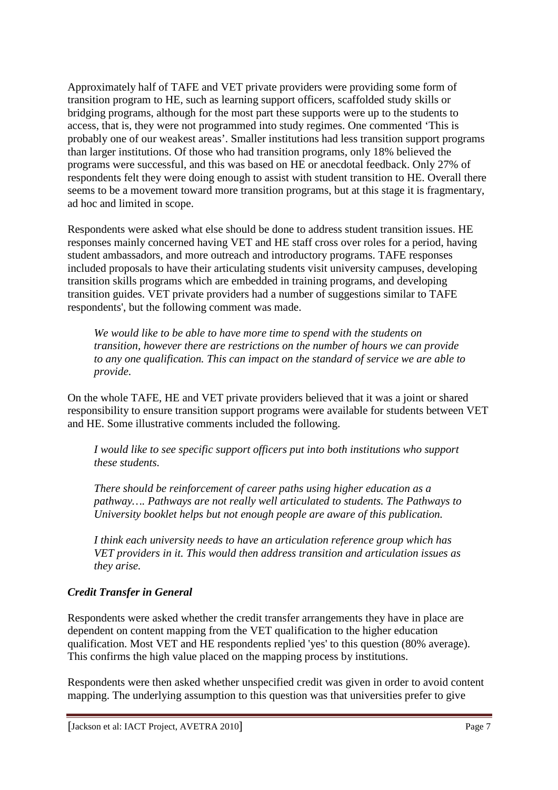Approximately half of TAFE and VET private providers were providing some form of transition program to HE, such as learning support officers, scaffolded study skills or bridging programs, although for the most part these supports were up to the students to access, that is, they were not programmed into study regimes. One commented 'This is probably one of our weakest areas'. Smaller institutions had less transition support programs than larger institutions. Of those who had transition programs, only 18% believed the programs were successful, and this was based on HE or anecdotal feedback. Only 27% of respondents felt they were doing enough to assist with student transition to HE. Overall there seems to be a movement toward more transition programs, but at this stage it is fragmentary, ad hoc and limited in scope.

Respondents were asked what else should be done to address student transition issues. HE responses mainly concerned having VET and HE staff cross over roles for a period, having student ambassadors, and more outreach and introductory programs. TAFE responses included proposals to have their articulating students visit university campuses, developing transition skills programs which are embedded in training programs, and developing transition guides. VET private providers had a number of suggestions similar to TAFE respondents', but the following comment was made.

*We would like to be able to have more time to spend with the students on transition, however there are restrictions on the number of hours we can provide to any one qualification. This can impact on the standard of service we are able to provide*.

On the whole TAFE, HE and VET private providers believed that it was a joint or shared responsibility to ensure transition support programs were available for students between VET and HE. Some illustrative comments included the following.

*I would like to see specific support officers put into both institutions who support these students.* 

*There should be reinforcement of career paths using higher education as a pathway…. Pathways are not really well articulated to students. The Pathways to University booklet helps but not enough people are aware of this publication.* 

*I think each university needs to have an articulation reference group which has VET providers in it. This would then address transition and articulation issues as they arise.* 

## *Credit Transfer in General*

Respondents were asked whether the credit transfer arrangements they have in place are dependent on content mapping from the VET qualification to the higher education qualification. Most VET and HE respondents replied 'yes' to this question (80% average). This confirms the high value placed on the mapping process by institutions.

Respondents were then asked whether unspecified credit was given in order to avoid content mapping. The underlying assumption to this question was that universities prefer to give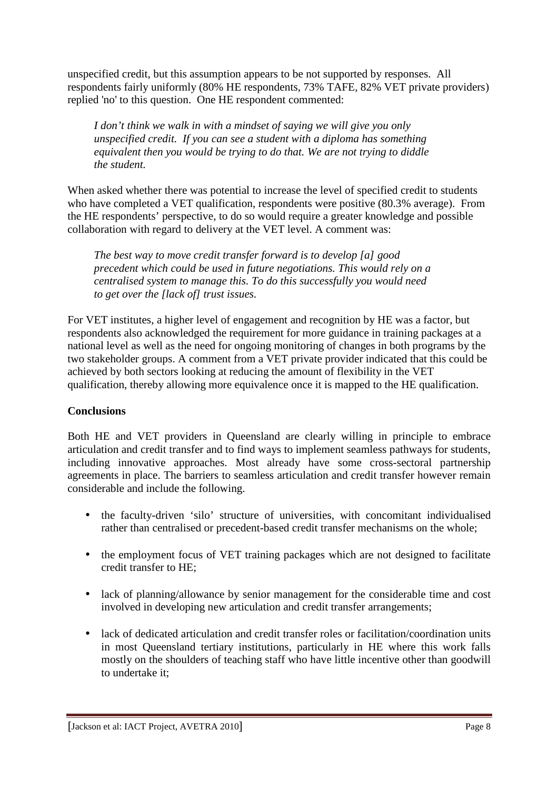unspecified credit, but this assumption appears to be not supported by responses. All respondents fairly uniformly (80% HE respondents, 73% TAFE, 82% VET private providers) replied 'no' to this question. One HE respondent commented:

*I don't think we walk in with a mindset of saying we will give you only unspecified credit. If you can see a student with a diploma has something equivalent then you would be trying to do that. We are not trying to diddle the student.* 

When asked whether there was potential to increase the level of specified credit to students who have completed a VET qualification, respondents were positive (80.3% average). From the HE respondents' perspective, to do so would require a greater knowledge and possible collaboration with regard to delivery at the VET level. A comment was:

*The best way to move credit transfer forward is to develop [a] good precedent which could be used in future negotiations. This would rely on a centralised system to manage this. To do this successfully you would need to get over the [lack of] trust issues.* 

For VET institutes, a higher level of engagement and recognition by HE was a factor, but respondents also acknowledged the requirement for more guidance in training packages at a national level as well as the need for ongoing monitoring of changes in both programs by the two stakeholder groups. A comment from a VET private provider indicated that this could be achieved by both sectors looking at reducing the amount of flexibility in the VET qualification, thereby allowing more equivalence once it is mapped to the HE qualification.

## **Conclusions**

Both HE and VET providers in Queensland are clearly willing in principle to embrace articulation and credit transfer and to find ways to implement seamless pathways for students, including innovative approaches. Most already have some cross-sectoral partnership agreements in place. The barriers to seamless articulation and credit transfer however remain considerable and include the following.

- the faculty-driven 'silo' structure of universities, with concomitant individualised rather than centralised or precedent-based credit transfer mechanisms on the whole;
- the employment focus of VET training packages which are not designed to facilitate credit transfer to HE;
- lack of planning/allowance by senior management for the considerable time and cost involved in developing new articulation and credit transfer arrangements;
- lack of dedicated articulation and credit transfer roles or facilitation/coordination units in most Queensland tertiary institutions, particularly in HE where this work falls mostly on the shoulders of teaching staff who have little incentive other than goodwill to undertake it;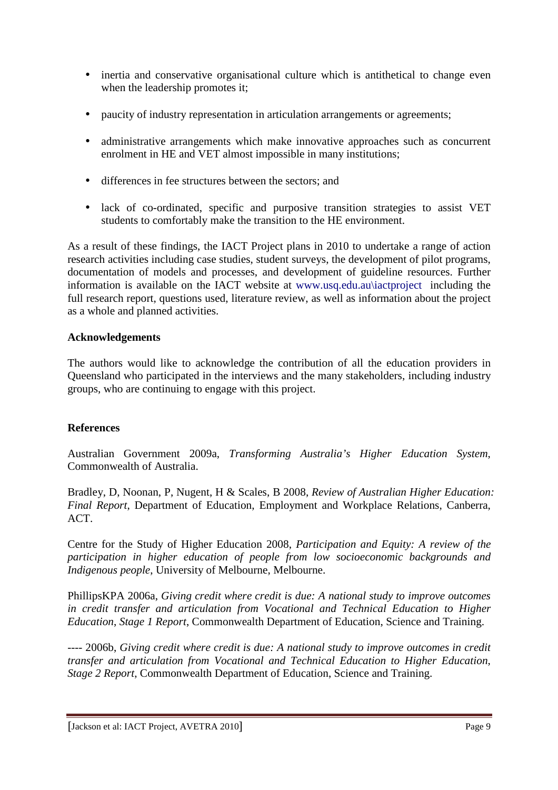- inertia and conservative organisational culture which is antithetical to change even when the leadership promotes it;
- paucity of industry representation in articulation arrangements or agreements;
- administrative arrangements which make innovative approaches such as concurrent enrolment in HE and VET almost impossible in many institutions;
- differences in fee structures between the sectors: and
- lack of co-ordinated, specific and purposive transition strategies to assist VET students to comfortably make the transition to the HE environment.

As a result of these findings, the IACT Project plans in 2010 to undertake a range of action research activities including case studies, student surveys, the development of pilot programs, documentation of models and processes, and development of guideline resources. Further information is available on the IACT website at www.usq.edu.au\iactproject including the full research report, questions used, literature review, as well as information about the project as a whole and planned activities.

## **Acknowledgements**

The authors would like to acknowledge the contribution of all the education providers in Queensland who participated in the interviews and the many stakeholders, including industry groups, who are continuing to engage with this project.

## **References**

Australian Government 2009a, *Transforming Australia's Higher Education System*, Commonwealth of Australia.

Bradley, D, Noonan, P, Nugent, H & Scales, B 2008, *Review of Australian Higher Education: Final Report*, Department of Education, Employment and Workplace Relations, Canberra, ACT.

Centre for the Study of Higher Education 2008, *Participation and Equity: A review of the participation in higher education of people from low socioeconomic backgrounds and Indigenous people*, University of Melbourne, Melbourne.

PhillipsKPA 2006a, *Giving credit where credit is due: A national study to improve outcomes in credit transfer and articulation from Vocational and Technical Education to Higher Education*, *Stage 1 Report*, Commonwealth Department of Education, Science and Training.

---- 2006b, *Giving credit where credit is due: A national study to improve outcomes in credit transfer and articulation from Vocational and Technical Education to Higher Education*, *Stage 2 Report*, Commonwealth Department of Education, Science and Training.